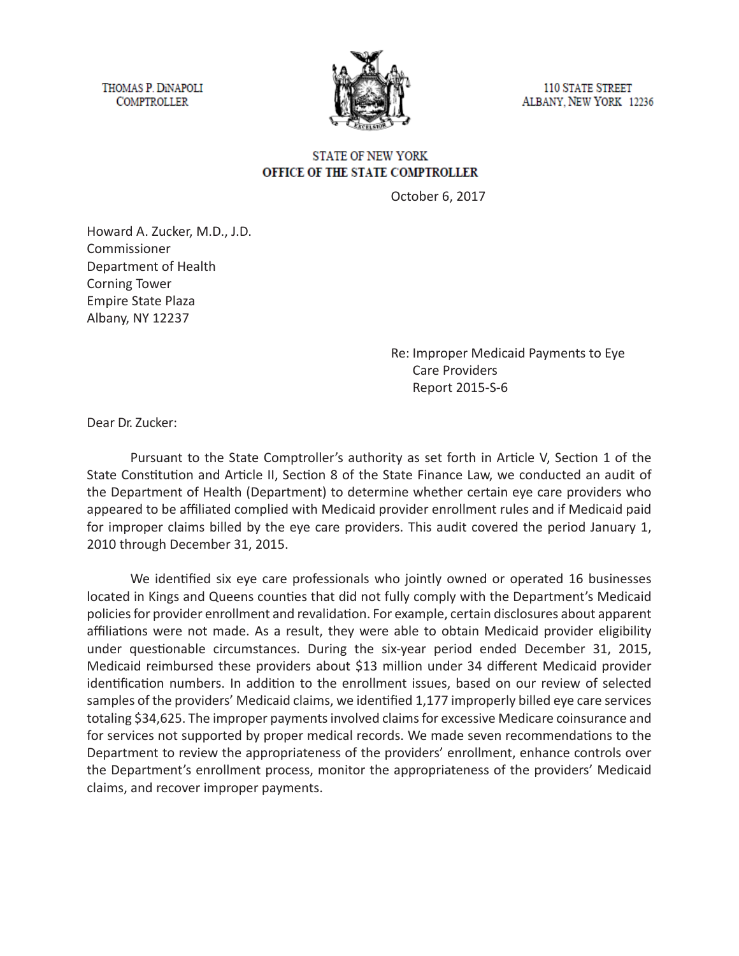THOMAS P. DINAPOLI **COMPTROLLER** 



**110 STATE STREET** ALBANY, NEW YORK 12236

## **STATE OF NEW YORK** OFFICE OF THE STATE COMPTROLLER

October 6, 2017

Howard A. Zucker, M.D., J.D. Commissioner Department of Health Corning Tower Empire State Plaza Albany, NY 12237

> Re: Improper Medicaid Payments to Eye Care Providers Report 2015-S-6

Dear Dr. Zucker:

Pursuant to the State Comptroller's authority as set forth in Article V, Section 1 of the State Constitution and Article II, Section 8 of the State Finance Law, we conducted an audit of the Department of Health (Department) to determine whether certain eye care providers who appeared to be affiliated complied with Medicaid provider enrollment rules and if Medicaid paid for improper claims billed by the eye care providers. This audit covered the period January 1, 2010 through December 31, 2015.

We identified six eye care professionals who jointly owned or operated 16 businesses located in Kings and Queens counties that did not fully comply with the Department's Medicaid policies for provider enrollment and revalidation. For example, certain disclosures about apparent affiliations were not made. As a result, they were able to obtain Medicaid provider eligibility under questionable circumstances. During the six-year period ended December 31, 2015, Medicaid reimbursed these providers about \$13 million under 34 different Medicaid provider identification numbers. In addition to the enrollment issues, based on our review of selected samples of the providers' Medicaid claims, we identified 1,177 improperly billed eye care services totaling \$34,625. The improper payments involved claims for excessive Medicare coinsurance and for services not supported by proper medical records. We made seven recommendations to the Department to review the appropriateness of the providers' enrollment, enhance controls over the Department's enrollment process, monitor the appropriateness of the providers' Medicaid claims, and recover improper payments.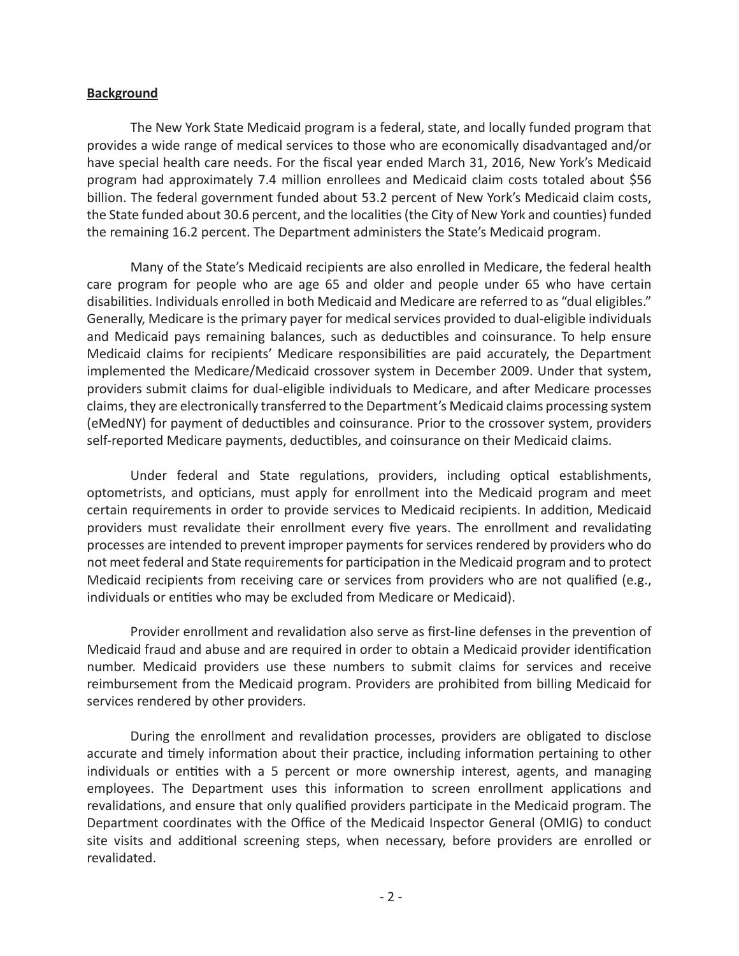## **Background**

The New York State Medicaid program is a federal, state, and locally funded program that provides a wide range of medical services to those who are economically disadvantaged and/or have special health care needs. For the fiscal year ended March 31, 2016, New York's Medicaid program had approximately 7.4 million enrollees and Medicaid claim costs totaled about \$56 billion. The federal government funded about 53.2 percent of New York's Medicaid claim costs, the State funded about 30.6 percent, and the localities (the City of New York and counties) funded the remaining 16.2 percent. The Department administers the State's Medicaid program.

Many of the State's Medicaid recipients are also enrolled in Medicare, the federal health care program for people who are age 65 and older and people under 65 who have certain disabilities. Individuals enrolled in both Medicaid and Medicare are referred to as "dual eligibles." Generally, Medicare is the primary payer for medical services provided to dual-eligible individuals and Medicaid pays remaining balances, such as deductibles and coinsurance. To help ensure Medicaid claims for recipients' Medicare responsibilities are paid accurately, the Department implemented the Medicare/Medicaid crossover system in December 2009. Under that system, providers submit claims for dual-eligible individuals to Medicare, and after Medicare processes claims, they are electronically transferred to the Department's Medicaid claims processing system (eMedNY) for payment of deductibles and coinsurance. Prior to the crossover system, providers self-reported Medicare payments, deductibles, and coinsurance on their Medicaid claims.

Under federal and State regulations, providers, including optical establishments, optometrists, and opticians, must apply for enrollment into the Medicaid program and meet certain requirements in order to provide services to Medicaid recipients. In addition, Medicaid providers must revalidate their enrollment every five years. The enrollment and revalidating processes are intended to prevent improper payments for services rendered by providers who do not meet federal and State requirements for participation in the Medicaid program and to protect Medicaid recipients from receiving care or services from providers who are not qualified (e.g., individuals or entities who may be excluded from Medicare or Medicaid).

Provider enrollment and revalidation also serve as first-line defenses in the prevention of Medicaid fraud and abuse and are required in order to obtain a Medicaid provider identification number. Medicaid providers use these numbers to submit claims for services and receive reimbursement from the Medicaid program. Providers are prohibited from billing Medicaid for services rendered by other providers.

During the enrollment and revalidation processes, providers are obligated to disclose accurate and timely information about their practice, including information pertaining to other individuals or entities with a 5 percent or more ownership interest, agents, and managing employees. The Department uses this information to screen enrollment applications and revalidations, and ensure that only qualified providers participate in the Medicaid program. The Department coordinates with the Office of the Medicaid Inspector General (OMIG) to conduct site visits and additional screening steps, when necessary, before providers are enrolled or revalidated.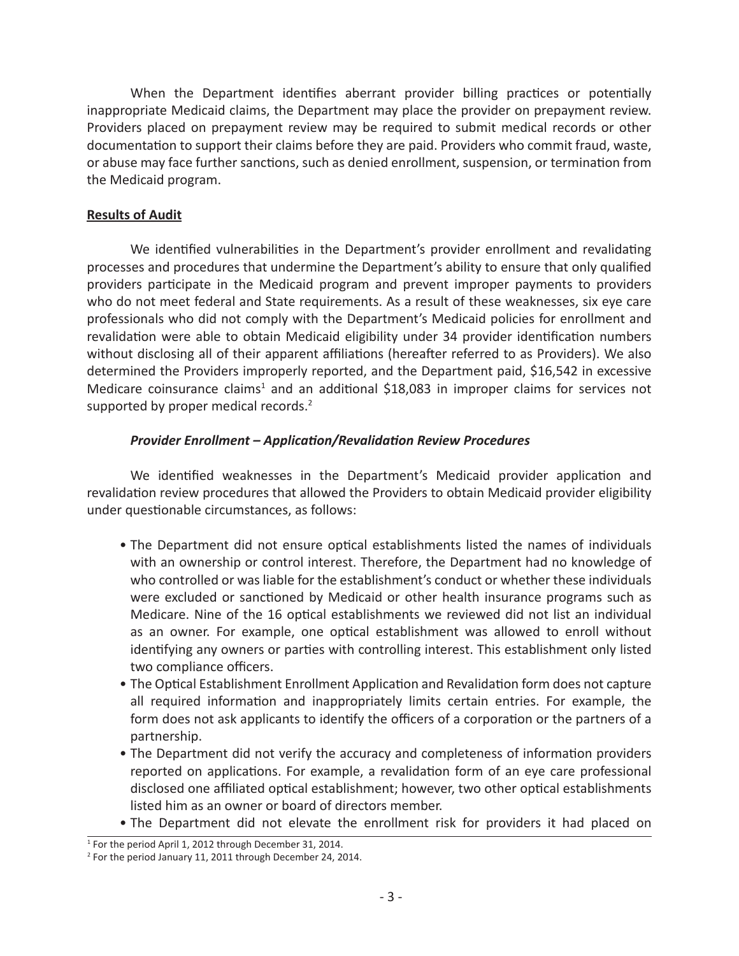When the Department identifies aberrant provider billing practices or potentially inappropriate Medicaid claims, the Department may place the provider on prepayment review. Providers placed on prepayment review may be required to submit medical records or other documentation to support their claims before they are paid. Providers who commit fraud, waste, or abuse may face further sanctions, such as denied enrollment, suspension, or termination from the Medicaid program.

## **Results of Audit**

We identified vulnerabilities in the Department's provider enrollment and revalidating processes and procedures that undermine the Department's ability to ensure that only qualified providers participate in the Medicaid program and prevent improper payments to providers who do not meet federal and State requirements. As a result of these weaknesses, six eye care professionals who did not comply with the Department's Medicaid policies for enrollment and revalidation were able to obtain Medicaid eligibility under 34 provider identification numbers without disclosing all of their apparent affiliations (hereafter referred to as Providers). We also determined the Providers improperly reported, and the Department paid, \$16,542 in excessive Medicare coinsurance claims<sup>1</sup> and an additional \$18,083 in improper claims for services not supported by proper medical records.<sup>2</sup>

## *Provider Enrollment – Application/Revalidation Review Procedures*

We identified weaknesses in the Department's Medicaid provider application and revalidation review procedures that allowed the Providers to obtain Medicaid provider eligibility under questionable circumstances, as follows:

- The Department did not ensure optical establishments listed the names of individuals with an ownership or control interest. Therefore, the Department had no knowledge of who controlled or was liable for the establishment's conduct or whether these individuals were excluded or sanctioned by Medicaid or other health insurance programs such as Medicare. Nine of the 16 optical establishments we reviewed did not list an individual as an owner. For example, one optical establishment was allowed to enroll without identifying any owners or parties with controlling interest. This establishment only listed two compliance officers.
- The Optical Establishment Enrollment Application and Revalidation form does not capture all required information and inappropriately limits certain entries. For example, the form does not ask applicants to identify the officers of a corporation or the partners of a partnership.
- The Department did not verify the accuracy and completeness of information providers reported on applications. For example, a revalidation form of an eye care professional disclosed one affiliated optical establishment; however, two other optical establishments listed him as an owner or board of directors member.
- The Department did not elevate the enrollment risk for providers it had placed on

<sup>&</sup>lt;sup>1</sup> For the period April 1, 2012 through December 31, 2014.

<sup>&</sup>lt;sup>2</sup> For the period January 11, 2011 through December 24, 2014.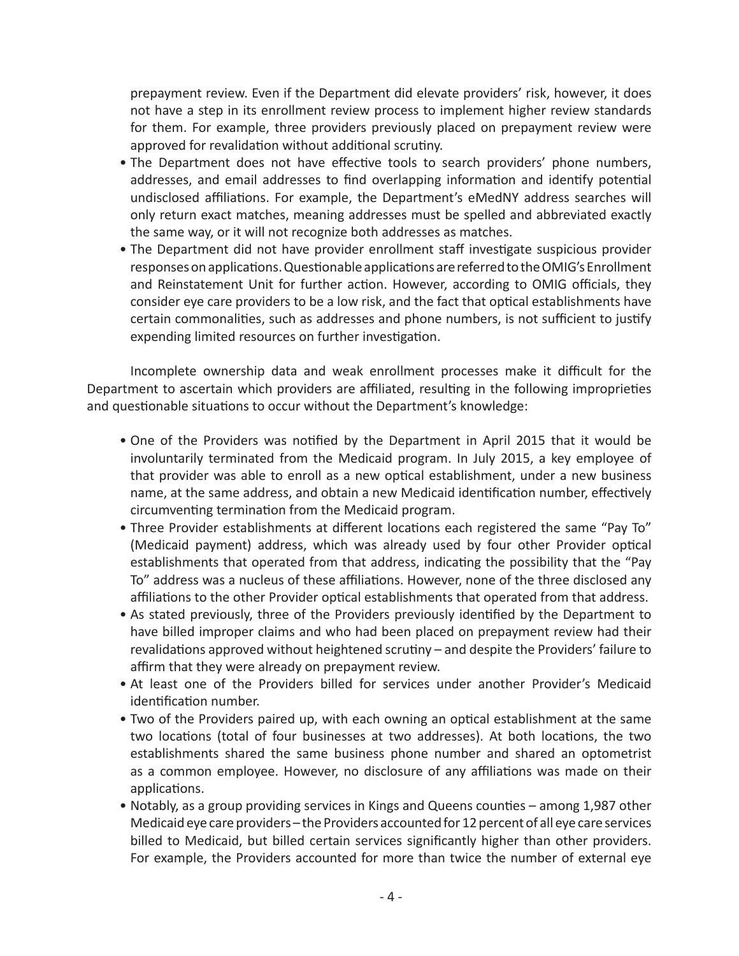prepayment review. Even if the Department did elevate providers' risk, however, it does not have a step in its enrollment review process to implement higher review standards for them. For example, three providers previously placed on prepayment review were approved for revalidation without additional scrutiny.

- The Department does not have effective tools to search providers' phone numbers, addresses, and email addresses to find overlapping information and identify potential undisclosed affiliations. For example, the Department's eMedNY address searches will only return exact matches, meaning addresses must be spelled and abbreviated exactly the same way, or it will not recognize both addresses as matches.
- The Department did not have provider enrollment staff investigate suspicious provider responses on applications. Questionable applications are referred to the OMIG's Enrollment and Reinstatement Unit for further action. However, according to OMIG officials, they consider eye care providers to be a low risk, and the fact that optical establishments have certain commonalities, such as addresses and phone numbers, is not sufficient to justify expending limited resources on further investigation.

Incomplete ownership data and weak enrollment processes make it difficult for the Department to ascertain which providers are affiliated, resulting in the following improprieties and questionable situations to occur without the Department's knowledge:

- One of the Providers was notified by the Department in April 2015 that it would be involuntarily terminated from the Medicaid program. In July 2015, a key employee of that provider was able to enroll as a new optical establishment, under a new business name, at the same address, and obtain a new Medicaid identification number, effectively circumventing termination from the Medicaid program.
- Three Provider establishments at different locations each registered the same "Pay To" (Medicaid payment) address, which was already used by four other Provider optical establishments that operated from that address, indicating the possibility that the "Pay To" address was a nucleus of these affiliations. However, none of the three disclosed any affiliations to the other Provider optical establishments that operated from that address.
- As stated previously, three of the Providers previously identified by the Department to have billed improper claims and who had been placed on prepayment review had their revalidations approved without heightened scrutiny – and despite the Providers' failure to affirm that they were already on prepayment review.
- At least one of the Providers billed for services under another Provider's Medicaid identification number.
- Two of the Providers paired up, with each owning an optical establishment at the same two locations (total of four businesses at two addresses). At both locations, the two establishments shared the same business phone number and shared an optometrist as a common employee. However, no disclosure of any affiliations was made on their applications.
- Notably, as a group providing services in Kings and Queens counties among 1,987 other Medicaid eye care providers – the Providers accounted for 12 percent of all eye care services billed to Medicaid, but billed certain services significantly higher than other providers. For example, the Providers accounted for more than twice the number of external eye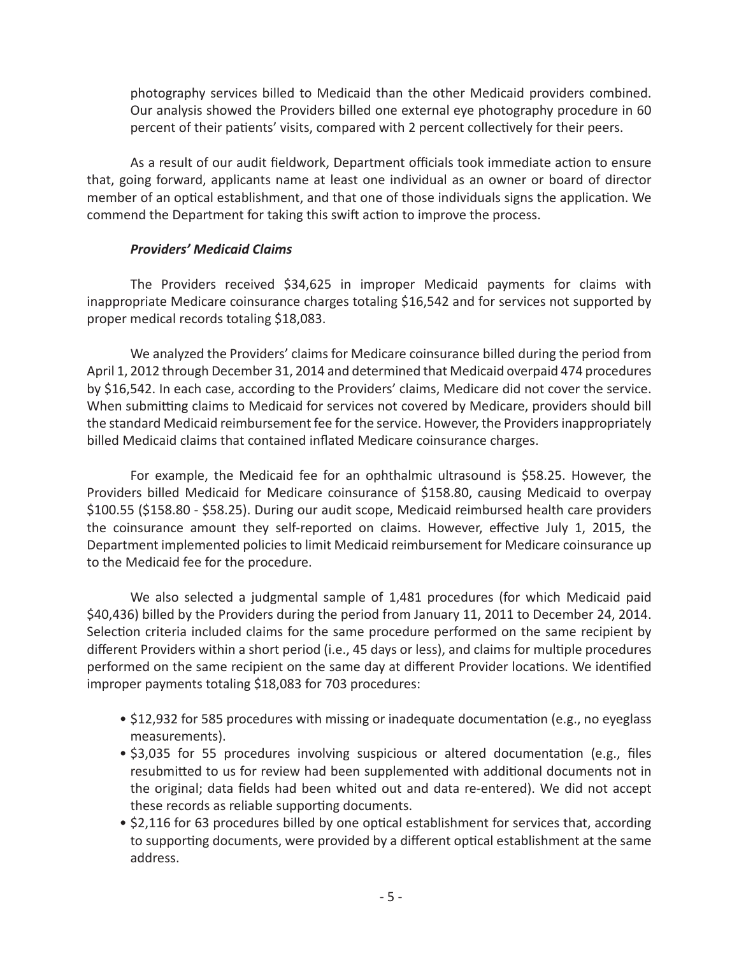photography services billed to Medicaid than the other Medicaid providers combined. Our analysis showed the Providers billed one external eye photography procedure in 60 percent of their patients' visits, compared with 2 percent collectively for their peers.

As a result of our audit fieldwork, Department officials took immediate action to ensure that, going forward, applicants name at least one individual as an owner or board of director member of an optical establishment, and that one of those individuals signs the application. We commend the Department for taking this swift action to improve the process.

## *Providers' Medicaid Claims*

The Providers received \$34,625 in improper Medicaid payments for claims with inappropriate Medicare coinsurance charges totaling \$16,542 and for services not supported by proper medical records totaling \$18,083.

We analyzed the Providers' claims for Medicare coinsurance billed during the period from April 1, 2012 through December 31, 2014 and determined that Medicaid overpaid 474 procedures by \$16,542. In each case, according to the Providers' claims, Medicare did not cover the service. When submitting claims to Medicaid for services not covered by Medicare, providers should bill the standard Medicaid reimbursement fee for the service. However, the Providers inappropriately billed Medicaid claims that contained inflated Medicare coinsurance charges.

For example, the Medicaid fee for an ophthalmic ultrasound is \$58.25. However, the Providers billed Medicaid for Medicare coinsurance of \$158.80, causing Medicaid to overpay \$100.55 (\$158.80 - \$58.25). During our audit scope, Medicaid reimbursed health care providers the coinsurance amount they self-reported on claims. However, effective July 1, 2015, the Department implemented policies to limit Medicaid reimbursement for Medicare coinsurance up to the Medicaid fee for the procedure.

We also selected a judgmental sample of 1,481 procedures (for which Medicaid paid \$40,436) billed by the Providers during the period from January 11, 2011 to December 24, 2014. Selection criteria included claims for the same procedure performed on the same recipient by different Providers within a short period (i.e., 45 days or less), and claims for multiple procedures performed on the same recipient on the same day at different Provider locations. We identified improper payments totaling \$18,083 for 703 procedures:

- \$12,932 for 585 procedures with missing or inadequate documentation (e.g., no eyeglass measurements).
- \$3,035 for 55 procedures involving suspicious or altered documentation (e.g., files resubmitted to us for review had been supplemented with additional documents not in the original; data fields had been whited out and data re-entered). We did not accept these records as reliable supporting documents.
- \$2,116 for 63 procedures billed by one optical establishment for services that, according to supporting documents, were provided by a different optical establishment at the same address.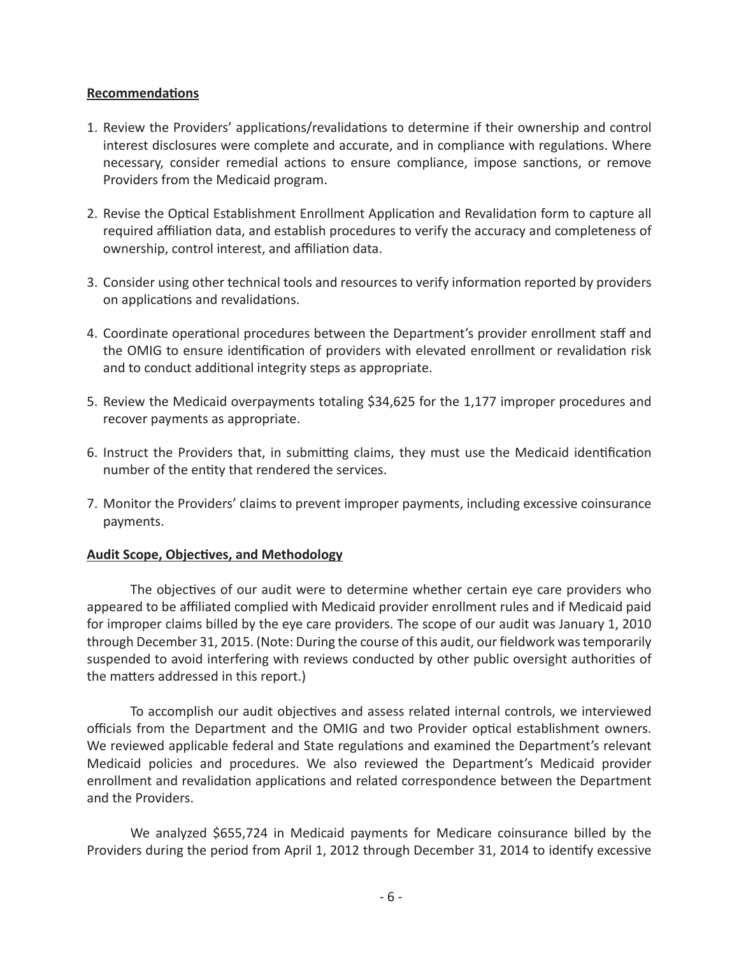## **Recommendations**

- 1. Review the Providers' applications/revalidations to determine if their ownership and control interest disclosures were complete and accurate, and in compliance with regulations. Where necessary, consider remedial actions to ensure compliance, impose sanctions, or remove Providers from the Medicaid program.
- 2. Revise the Optical Establishment Enrollment Application and Revalidation form to capture all required affiliation data, and establish procedures to verify the accuracy and completeness of ownership, control interest, and affiliation data.
- 3. Consider using other technical tools and resources to verify information reported by providers on applications and revalidations.
- 4. Coordinate operational procedures between the Department's provider enrollment staff and the OMIG to ensure identification of providers with elevated enrollment or revalidation risk and to conduct additional integrity steps as appropriate.
- 5. Review the Medicaid overpayments totaling \$34,625 for the 1,177 improper procedures and recover payments as appropriate.
- 6. Instruct the Providers that, in submitting claims, they must use the Medicaid identification number of the entity that rendered the services.
- 7. Monitor the Providers' claims to prevent improper payments, including excessive coinsurance payments.

## **Audit Scope, Objectives, and Methodology**

The objectives of our audit were to determine whether certain eye care providers who appeared to be affiliated complied with Medicaid provider enrollment rules and if Medicaid paid for improper claims billed by the eye care providers. The scope of our audit was January 1, 2010 through December 31, 2015. (Note: During the course of this audit, our fieldwork was temporarily suspended to avoid interfering with reviews conducted by other public oversight authorities of the matters addressed in this report.)

To accomplish our audit objectives and assess related internal controls, we interviewed officials from the Department and the OMIG and two Provider optical establishment owners. We reviewed applicable federal and State regulations and examined the Department's relevant Medicaid policies and procedures. We also reviewed the Department's Medicaid provider enrollment and revalidation applications and related correspondence between the Department and the Providers.

We analyzed \$655,724 in Medicaid payments for Medicare coinsurance billed by the Providers during the period from April 1, 2012 through December 31, 2014 to identify excessive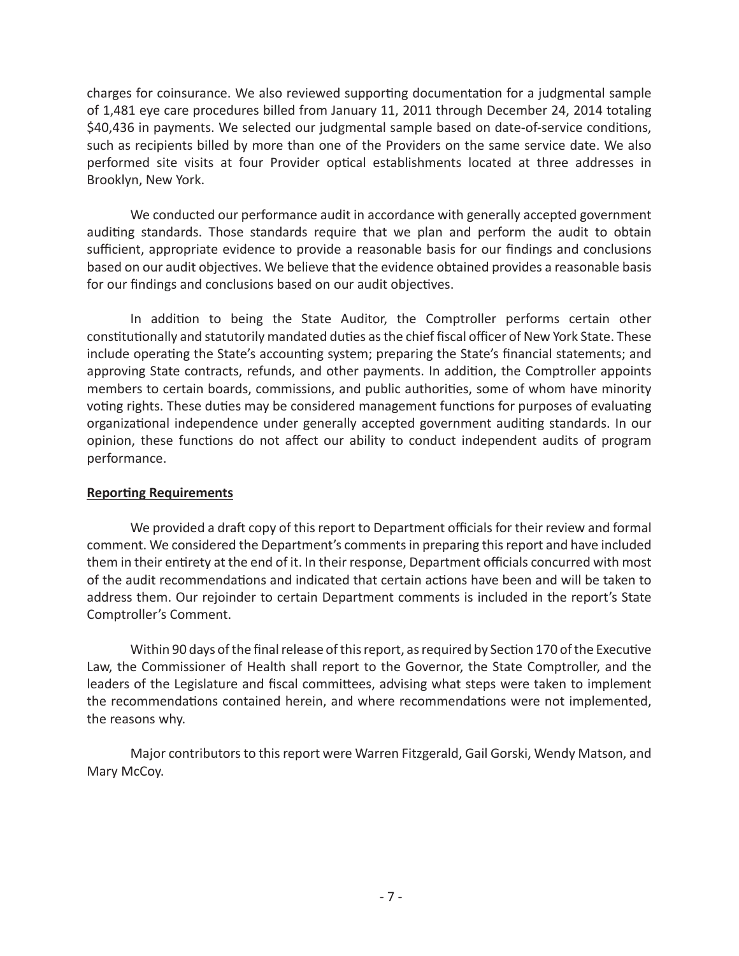charges for coinsurance. We also reviewed supporting documentation for a judgmental sample of 1,481 eye care procedures billed from January 11, 2011 through December 24, 2014 totaling \$40,436 in payments. We selected our judgmental sample based on date-of-service conditions, such as recipients billed by more than one of the Providers on the same service date. We also performed site visits at four Provider optical establishments located at three addresses in Brooklyn, New York.

We conducted our performance audit in accordance with generally accepted government auditing standards. Those standards require that we plan and perform the audit to obtain sufficient, appropriate evidence to provide a reasonable basis for our findings and conclusions based on our audit objectives. We believe that the evidence obtained provides a reasonable basis for our findings and conclusions based on our audit objectives.

In addition to being the State Auditor, the Comptroller performs certain other constitutionally and statutorily mandated duties as the chief fiscal officer of New York State. These include operating the State's accounting system; preparing the State's financial statements; and approving State contracts, refunds, and other payments. In addition, the Comptroller appoints members to certain boards, commissions, and public authorities, some of whom have minority voting rights. These duties may be considered management functions for purposes of evaluating organizational independence under generally accepted government auditing standards. In our opinion, these functions do not affect our ability to conduct independent audits of program performance.

## **Reporting Requirements**

We provided a draft copy of this report to Department officials for their review and formal comment. We considered the Department's comments in preparing this report and have included them in their entirety at the end of it. In their response, Department officials concurred with most of the audit recommendations and indicated that certain actions have been and will be taken to address them. Our rejoinder to certain Department comments is included in the report's State Comptroller's Comment.

Within 90 days of the final release of this report, as required by Section 170 of the Executive Law, the Commissioner of Health shall report to the Governor, the State Comptroller, and the leaders of the Legislature and fiscal committees, advising what steps were taken to implement the recommendations contained herein, and where recommendations were not implemented, the reasons why.

Major contributors to this report were Warren Fitzgerald, Gail Gorski, Wendy Matson, and Mary McCoy.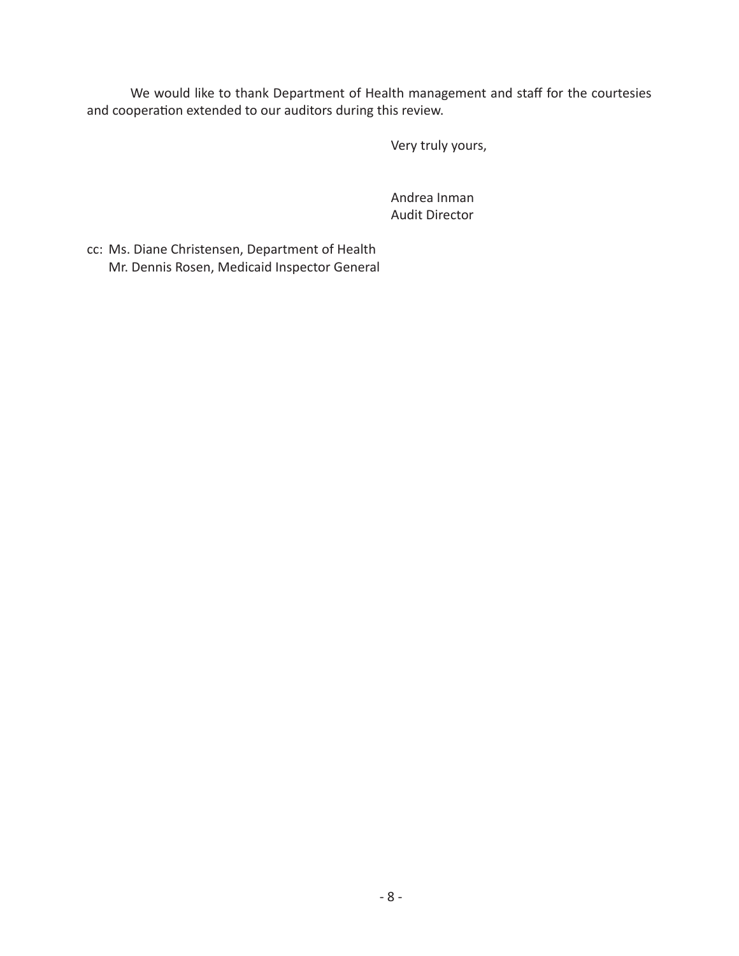We would like to thank Department of Health management and staff for the courtesies and cooperation extended to our auditors during this review.

Very truly yours,

Andrea Inman Audit Director

cc: Ms. Diane Christensen, Department of Health Mr. Dennis Rosen, Medicaid Inspector General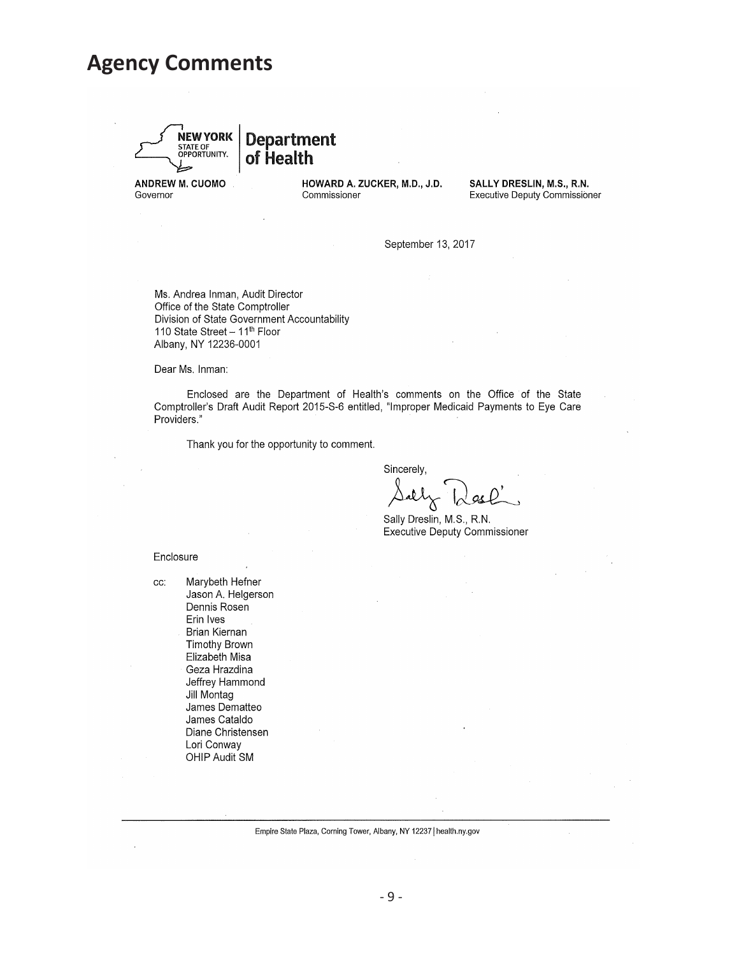## **Agency Comments**



**Department** of Health

ANDREW M. CUOMO Governor

HOWARD A. ZUCKER, M.D., J.D. Commissioner

SALLY DRESLIN, M.S., R.N. **Executive Deputy Commissioner** 

September 13, 2017

Ms. Andrea Inman, Audit Director Office of the State Comptroller Division of State Government Accountability 110 State Street - 11<sup>th</sup> Floor Albany, NY 12236-0001

Dear Ms. Inman:

Enclosed are the Department of Health's comments on the Office of the State Comptroller's Draft Audit Report 2015-S-6 entitled, "Improper Medicaid Payments to Eye Care Providers."

Thank you for the opportunity to comment.

Sincerely,

Sally Dreslin, M.S., R.N. **Executive Deputy Commissioner** 

Enclosure

Marybeth Hefner CC: Jason A. Helgerson Dennis Rosen Erin Ives Brian Kiernan **Timothy Brown** Elizabeth Misa Geza Hrazdina Jeffrey Hammond Jill Montag James Dematteo James Cataldo Diane Christensen Lori Conway OHIP Audit SM

Empire State Plaza, Corning Tower, Albany, NY 12237 | health.ny.gov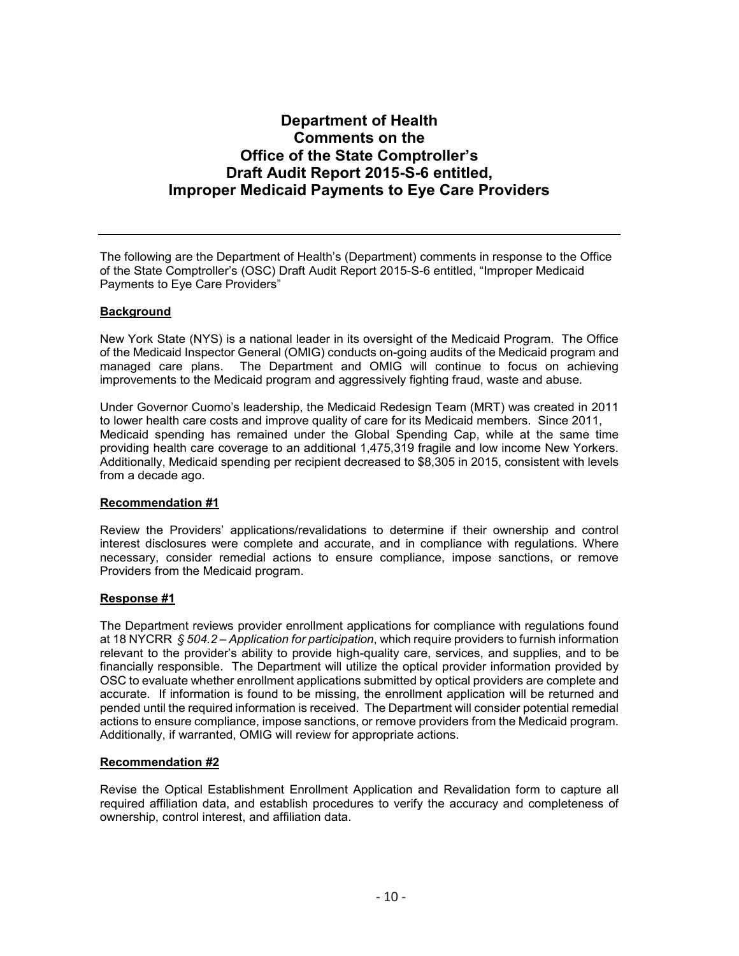## **Department of Health Comments on the Office of the State Comptroller's Draft Audit Report 2015-S-6 entitled, Improper Medicaid Payments to Eye Care Providers**

The following are the Department of Health's (Department) comments in response to the Office of the State Comptroller's (OSC) Draft Audit Report 2015-S-6 entitled, "Improper Medicaid Payments to Eye Care Providers"

#### **Background**

New York State (NYS) is a national leader in its oversight of the Medicaid Program. The Office of the Medicaid Inspector General (OMIG) conducts on-going audits of the Medicaid program and managed care plans. The Department and OMIG will continue to focus on achieving improvements to the Medicaid program and aggressively fighting fraud, waste and abuse.

Under Governor Cuomo's leadership, the Medicaid Redesign Team (MRT) was created in 2011 to lower health care costs and improve quality of care for its Medicaid members. Since 2011, Medicaid spending has remained under the Global Spending Cap, while at the same time providing health care coverage to an additional 1,475,319 fragile and low income New Yorkers. Additionally, Medicaid spending per recipient decreased to \$8,305 in 2015, consistent with levels from a decade ago.

#### **Recommendation #1**

Review the Providers' applications/revalidations to determine if their ownership and control interest disclosures were complete and accurate, and in compliance with regulations. Where necessary, consider remedial actions to ensure compliance, impose sanctions, or remove Providers from the Medicaid program.

#### **Response #1**

The Department reviews provider enrollment applications for compliance with regulations found at 18 NYCRR *§ 504.2 – Application for participation*, which require providers to furnish information relevant to the provider's ability to provide high-quality care, services, and supplies, and to be financially responsible. The Department will utilize the optical provider information provided by OSC to evaluate whether enrollment applications submitted by optical providers are complete and accurate. If information is found to be missing, the enrollment application will be returned and pended until the required information is received. The Department will consider potential remedial actions to ensure compliance, impose sanctions, or remove providers from the Medicaid program. Additionally, if warranted, OMIG will review for appropriate actions.

#### **Recommendation #2**

Revise the Optical Establishment Enrollment Application and Revalidation form to capture all required affiliation data, and establish procedures to verify the accuracy and completeness of ownership, control interest, and affiliation data.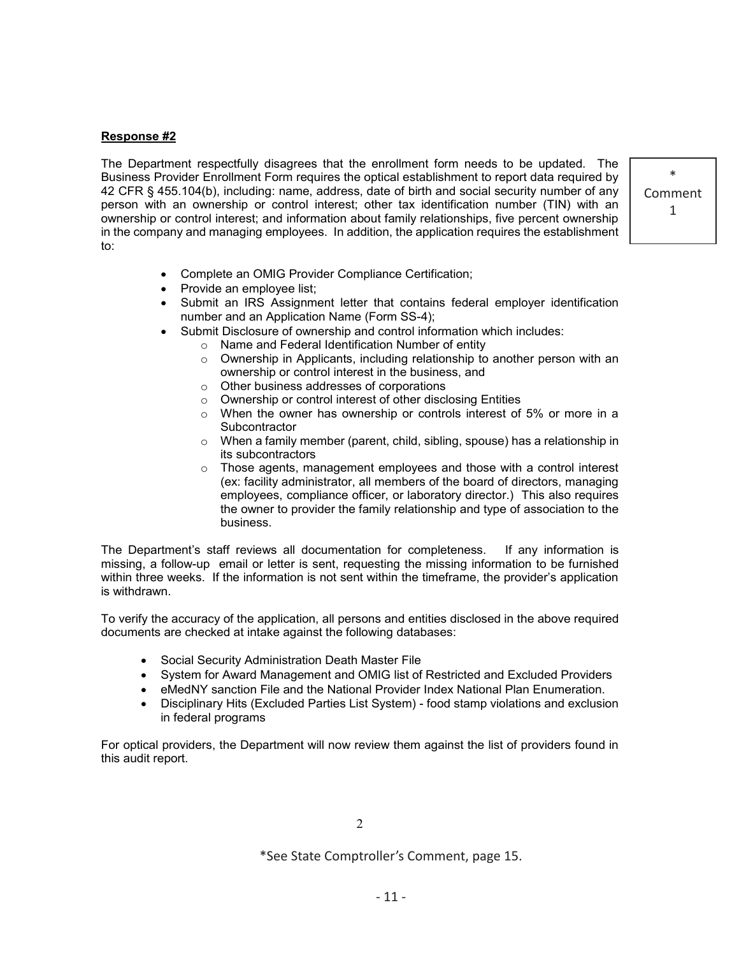#### **Response #2**

The Department respectfully disagrees that the enrollment form needs to be updated. The Business Provider Enrollment Form requires the optical establishment to report data required by 42 CFR § 455.104(b), including: name, address, date of birth and social security number of any person with an ownership or control interest; other tax identification number (TIN) with an ownership or control interest; and information about family relationships, five percent ownership in the company and managing employees. In addition, the application requires the establishment to:

\* Comment 1

- Complete an OMIG Provider Compliance Certification;
- Provide an employee list;
- Submit an IRS Assignment letter that contains federal employer identification number and an Application Name (Form SS-4);
- Submit Disclosure of ownership and control information which includes:
	- o Name and Federal Identification Number of entity
	- o Ownership in Applicants, including relationship to another person with an ownership or control interest in the business, and
	- o Other business addresses of corporations
	- o Ownership or control interest of other disclosing Entities
	- o When the owner has ownership or controls interest of 5% or more in a **Subcontractor**
	- $\circ$  When a family member (parent, child, sibling, spouse) has a relationship in its subcontractors
	- $\circ$  Those agents, management employees and those with a control interest (ex: facility administrator, all members of the board of directors, managing employees, compliance officer, or laboratory director.) This also requires the owner to provider the family relationship and type of association to the business.

The Department's staff reviews all documentation for completeness. If any information is missing, a follow-up email or letter is sent, requesting the missing information to be furnished within three weeks. If the information is not sent within the timeframe, the provider's application is withdrawn.

To verify the accuracy of the application, all persons and entities disclosed in the above required documents are checked at intake against the following databases:

- Social Security Administration Death Master File
- System for Award Management and OMIG list of Restricted and Excluded Providers
- eMedNY sanction File and the National Provider Index National Plan Enumeration.
- Disciplinary Hits (Excluded Parties List System) food stamp violations and exclusion in federal programs

For optical providers, the Department will now review them against the list of providers found in this audit report.

2

\*See State Comptroller's Comment, page 15.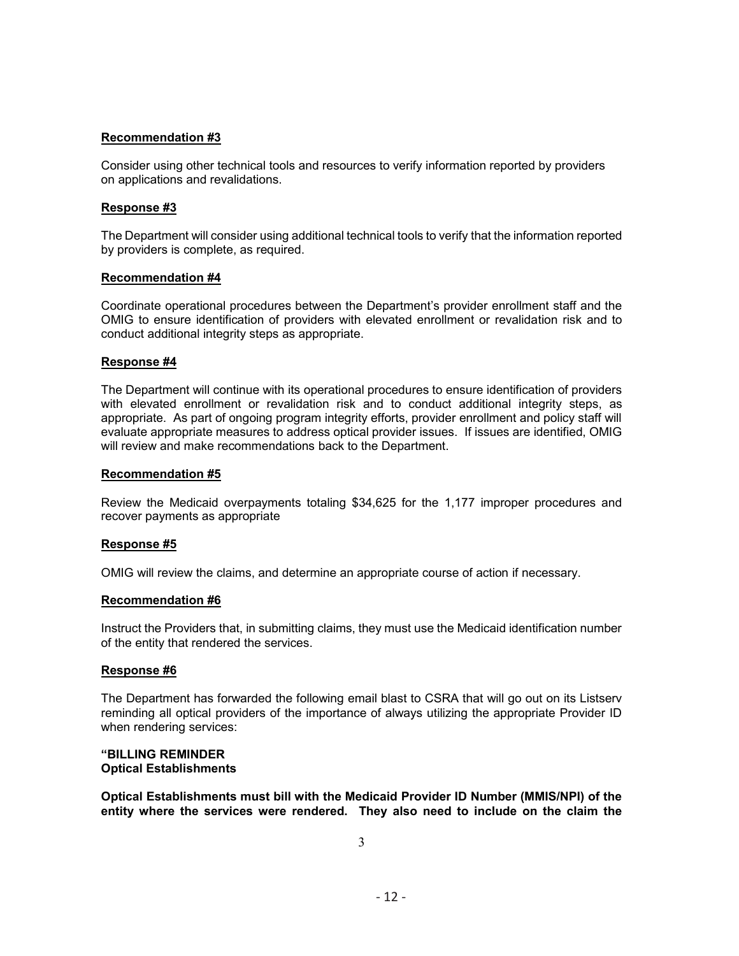#### **Recommendation #3**

Consider using other technical tools and resources to verify information reported by providers on applications and revalidations.

#### **Response #3**

The Department will consider using additional technical tools to verify that the information reported by providers is complete, as required.

#### **Recommendation #4**

Coordinate operational procedures between the Department's provider enrollment staff and the OMIG to ensure identification of providers with elevated enrollment or revalidation risk and to conduct additional integrity steps as appropriate.

#### **Response #4**

The Department will continue with its operational procedures to ensure identification of providers with elevated enrollment or revalidation risk and to conduct additional integrity steps, as appropriate. As part of ongoing program integrity efforts, provider enrollment and policy staff will evaluate appropriate measures to address optical provider issues. If issues are identified, OMIG will review and make recommendations back to the Department.

#### **Recommendation #5**

Review the Medicaid overpayments totaling \$34,625 for the 1,177 improper procedures and recover payments as appropriate

#### **Response #5**

OMIG will review the claims, and determine an appropriate course of action if necessary.

#### **Recommendation #6**

Instruct the Providers that, in submitting claims, they must use the Medicaid identification number of the entity that rendered the services.

#### **Response #6**

The Department has forwarded the following email blast to CSRA that will go out on its Listserv reminding all optical providers of the importance of always utilizing the appropriate Provider ID when rendering services:

#### **"BILLING REMINDER Optical Establishments**

**Optical Establishments must bill with the Medicaid Provider ID Number (MMIS/NPI) of the entity where the services were rendered. They also need to include on the claim the**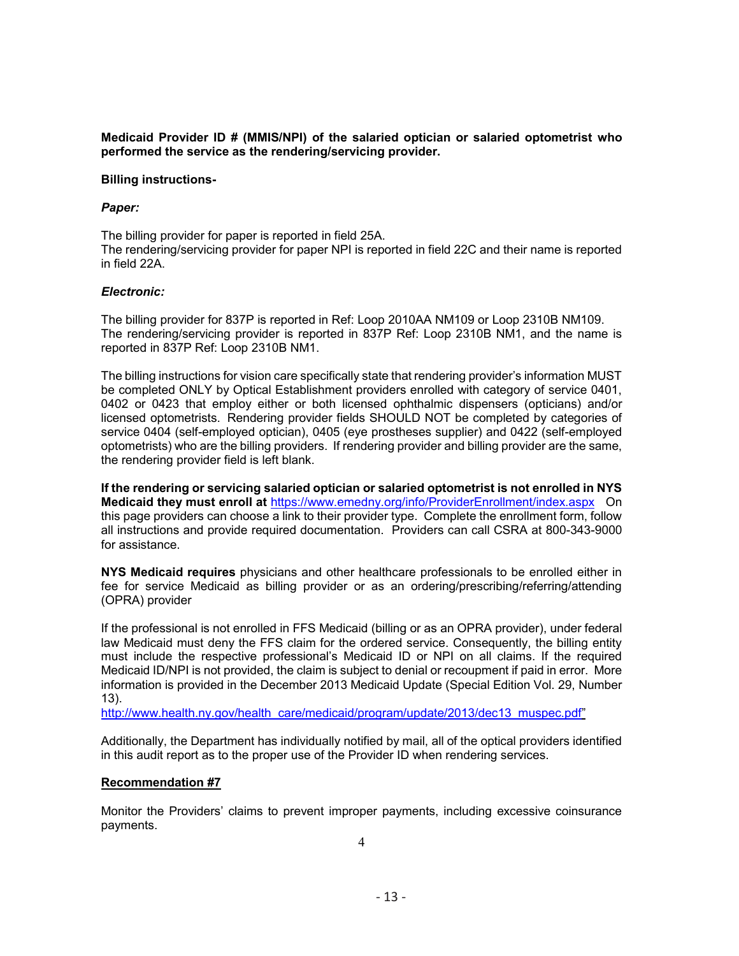**Medicaid Provider ID # (MMIS/NPI) of the salaried optician or salaried optometrist who performed the service as the rendering/servicing provider.**

#### **Billing instructions-**

#### *Paper:*

The billing provider for paper is reported in field 25A. The rendering/servicing provider for paper NPI is reported in field 22C and their name is reported in field 22A.

#### *Electronic:*

The billing provider for 837P is reported in Ref: Loop 2010AA NM109 or Loop 2310B NM109. The rendering/servicing provider is reported in 837P Ref: Loop 2310B NM1, and the name is reported in 837P Ref: Loop 2310B NM1.

The billing instructions for vision care specifically state that rendering provider's information MUST be completed ONLY by Optical Establishment providers enrolled with category of service 0401, 0402 or 0423 that employ either or both licensed ophthalmic dispensers (opticians) and/or licensed optometrists. Rendering provider fields SHOULD NOT be completed by categories of service 0404 (self-employed optician), 0405 (eye prostheses supplier) and 0422 (self-employed optometrists) who are the billing providers. If rendering provider and billing provider are the same, the rendering provider field is left blank.

**If the rendering or servicing salaried optician or salaried optometrist is not enrolled in NYS Medicaid they must enroll at** https://www.emedny.org/info/ProviderEnrollment/index.aspxOn this page providers can choose a link to their provider type. Complete the enrollment form, follow all instructions and provide required documentation. Providers can call CSRA at 800-343-9000 for assistance.

**NYS Medicaid requires** physicians and other healthcare professionals to be enrolled either in fee for service Medicaid as billing provider or as an ordering/prescribing/referring/attending (OPRA) provider

If the professional is not enrolled in FFS Medicaid (billing or as an OPRA provider), under federal law Medicaid must deny the FFS claim for the ordered service. Consequently, the billing entity must include the respective professional's Medicaid ID or NPI on all claims. If the required Medicaid ID/NPI is not provided, the claim is subject to denial or recoupment if paid in error. More information is provided in the December 2013 Medicaid Update (Special Edition Vol. 29, Number 13).

http://www.health.ny.gov/health\_care/medicaid/program/update/2013/dec13\_muspec.pdf"

Additionally, the Department has individually notified by mail, all of the optical providers identified in this audit report as to the proper use of the Provider ID when rendering services.

#### **Recommendation #7**

Monitor the Providers' claims to prevent improper payments, including excessive coinsurance payments.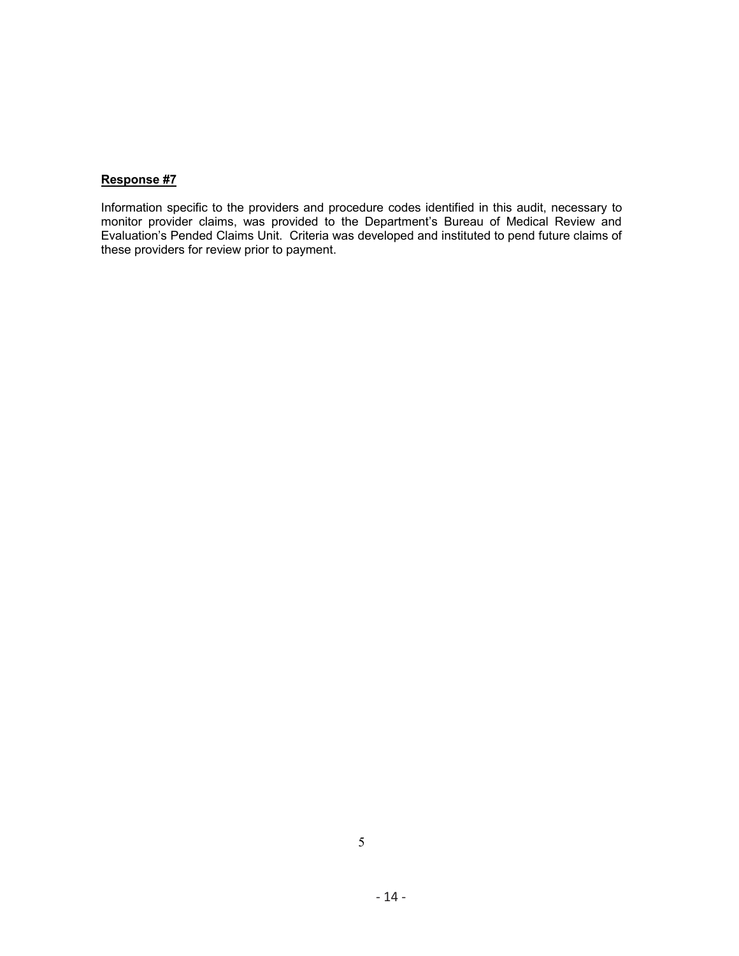#### **Response #7**

Information specific to the providers and procedure codes identified in this audit, necessary to monitor provider claims, was provided to the Department's Bureau of Medical Review and Evaluation's Pended Claims Unit. Criteria was developed and instituted to pend future claims of these providers for review prior to payment.